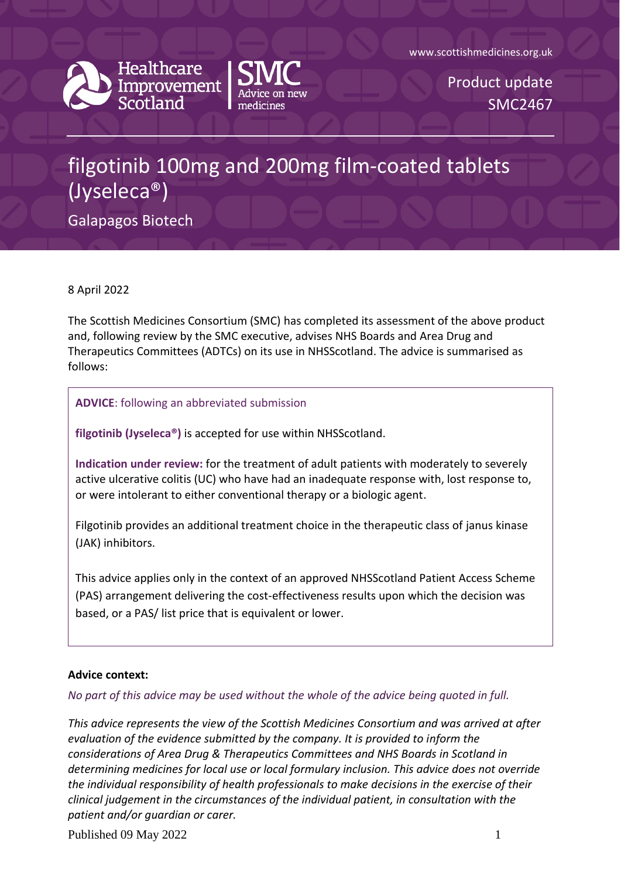





Product update SMC2467

## filgotinib 100mg and 200mg film-coated tablets (Jyseleca®)

Galapagos Biotech

8 April 2022

The Scottish Medicines Consortium (SMC) has completed its assessment of the above product and, following review by the SMC executive, advises NHS Boards and Area Drug and Therapeutics Committees (ADTCs) on its use in NHSScotland. The advice is summarised as follows:

**ADVICE**: following an abbreviated submission

**filgotinib (Jyseleca®)** is accepted for use within NHSScotland.

**Indication under review:** for the treatment of adult patients with moderately to severely active ulcerative colitis (UC) who have had an inadequate response with, lost response to, or were intolerant to either conventional therapy or a biologic agent.

Filgotinib provides an additional treatment choice in the therapeutic class of janus kinase (JAK) inhibitors.

This advice applies only in the context of an approved NHSScotland Patient Access Scheme (PAS) arrangement delivering the cost-effectiveness results upon which the decision was based, or a PAS/ list price that is equivalent or lower.

## **Advice context:**

*No part of this advice may be used without the whole of the advice being quoted in full.* 

*This advice represents the view of the Scottish Medicines Consortium and was arrived at after evaluation of the evidence submitted by the company. It is provided to inform the considerations of Area Drug & Therapeutics Committees and NHS Boards in Scotland in determining medicines for local use or local formulary inclusion. This advice does not override the individual responsibility of health professionals to make decisions in the exercise of their clinical judgement in the circumstances of the individual patient, in consultation with the patient and/or guardian or carer.*

Published 09 May 2022 1